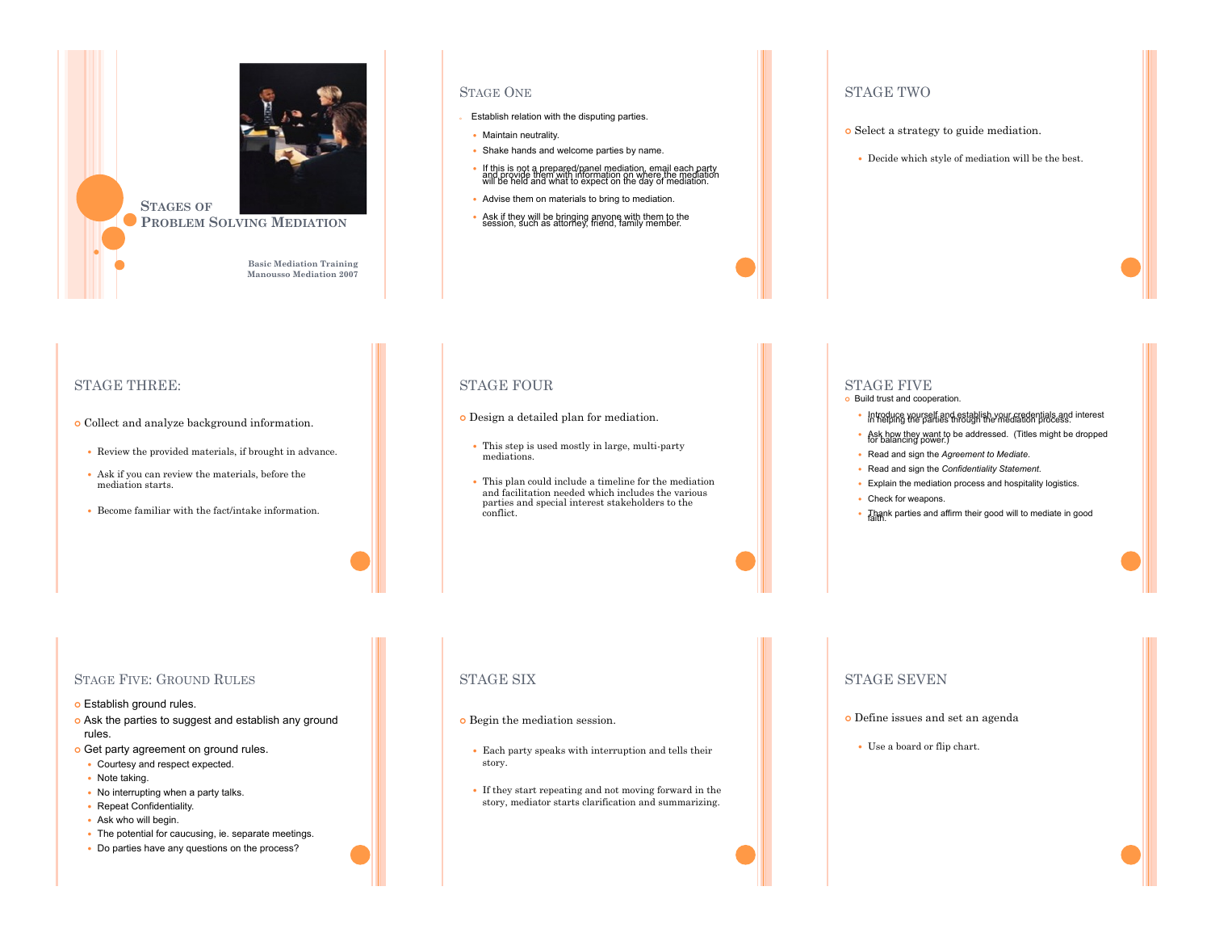

**Basic Mediation Training Manousso Mediation 2007** 

#### STAGE ONE

- Establish relation with the disputing parties.
- Maintain neutrality.
- . Shake hands and welcome parties by name.
- ! If this is not a prepared/panel mediation, email each party and provide them with information on where the mediation will be held and what to expect on the day of mediation.
- Advise them on materials to bring to mediation.
- Ask if they will be bringing anyone with them to the session, such as attorney, friend, family member.

## STAGE TWO

- o Select a strategy to guide mediation.
	- ! Decide which style of mediation will be the best.

# STAGE THREE:

- o Collect and analyze background information.
	- ! Review the provided materials, if brought in advance.
	- ! Ask if you can review the materials, before the mediation starts.
	- ! Become familiar with the fact/intake information.

## STAGE FOUR

- ! Design a detailed plan for mediation.
	- ! This step is used mostly in large, multi-party mediations.
	- ! This plan could include a timeline for the mediation and facilitation needed which includes the various parties and special interest stakeholders to the conflict.

## STAGE FIVE

- o Build trust and cooperation.
	- ! Introduce yourself and establish your credentials and interest in helping the parties through the mediation process.
	- Ask how they want to be addressed. (Titles might be dropped for balancing power.)
	- ! Read and sign the *Agreement to Mediate*.
- ! Read and sign the *Confidentiality Statement*.
- ! Explain the mediation process and hospitality logistics.
- Check for weapons.
- . Thank parties and affirm their good will to mediate in good

#### STAGE FIVE: GROUND RULES

- o Establish ground rules.
- o Ask the parties to suggest and establish any ground rules.
- o Get party agreement on ground rules.
- Courtesy and respect expected.
- Note taking.
- . No interrupting when a party talks.
- Repeat Confidentiality.
- Ask who will begin.
- . The potential for caucusing, ie. separate meetings.
- ! Do parties have any questions on the process?

## STAGE SIX

- **o** Begin the mediation session.
	- ! Each party speaks with interruption and tells their story.
	- ! If they start repeating and not moving forward in the story, mediator starts clarification and summarizing.

#### STAGE SEVEN

- ! Define issues and set an agenda
	- ! Use a board or flip chart.